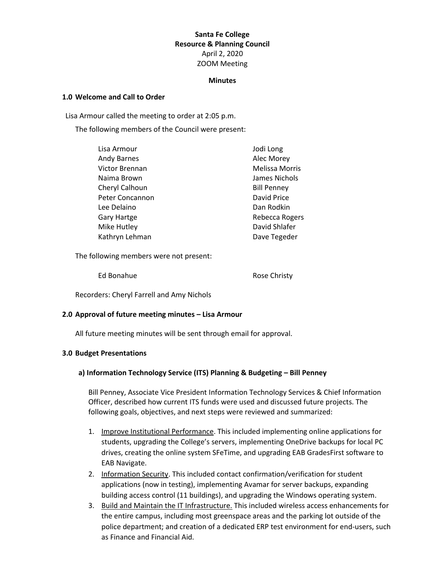# **Santa Fe College Resource & Planning Council** April 2, 2020 ZOOM Meeting

#### **Minutes**

#### **1.0 Welcome and Call to Order**

Lisa Armour called the meeting to order at 2:05 p.m.

The following members of the Council were present:

| Alec Morey<br><b>Andy Barnes</b><br>Victor Brennan<br>Naima Brown<br>Cheryl Calhoun<br><b>Bill Penney</b><br>Peter Concannon<br>David Price<br>Lee Delaino<br>Dan Rodkin<br>Gary Hartge<br>Mike Hutley<br>Kathryn Lehman | Lisa Armour | Jodi Long             |
|--------------------------------------------------------------------------------------------------------------------------------------------------------------------------------------------------------------------------|-------------|-----------------------|
|                                                                                                                                                                                                                          |             |                       |
|                                                                                                                                                                                                                          |             | <b>Melissa Morris</b> |
|                                                                                                                                                                                                                          |             | James Nichols         |
|                                                                                                                                                                                                                          |             |                       |
|                                                                                                                                                                                                                          |             |                       |
|                                                                                                                                                                                                                          |             |                       |
|                                                                                                                                                                                                                          |             | Rebecca Rogers        |
|                                                                                                                                                                                                                          |             | David Shlafer         |
|                                                                                                                                                                                                                          |             | Dave Tegeder          |

The following members were not present:

Ed Bonahue Rose Christy

Recorders: Cheryl Farrell and Amy Nichols

# **2.0 Approval of future meeting minutes – Lisa Armour**

All future meeting minutes will be sent through email for approval.

#### **3.0 Budget Presentations**

# **a) Information Technology Service (ITS) Planning & Budgeting – Bill Penney**

Bill Penney, Associate Vice President Information Technology Services & Chief Information Officer, described how current ITS funds were used and discussed future projects. The following goals, objectives, and next steps were reviewed and summarized:

- 1. Improve Institutional Performance. This included implementing online applications for students, upgrading the College's servers, implementing OneDrive backups for local PC drives, creating the online system SFeTime, and upgrading EAB GradesFirst software to EAB Navigate.
- 2. Information Security. This included contact confirmation/verification for student applications (now in testing), implementing Avamar for server backups, expanding building access control (11 buildings), and upgrading the Windows operating system.
- 3. Build and Maintain the IT Infrastructure. This included wireless access enhancements for the entire campus, including most greenspace areas and the parking lot outside of the police department; and creation of a dedicated ERP test environment for end-users, such as Finance and Financial Aid.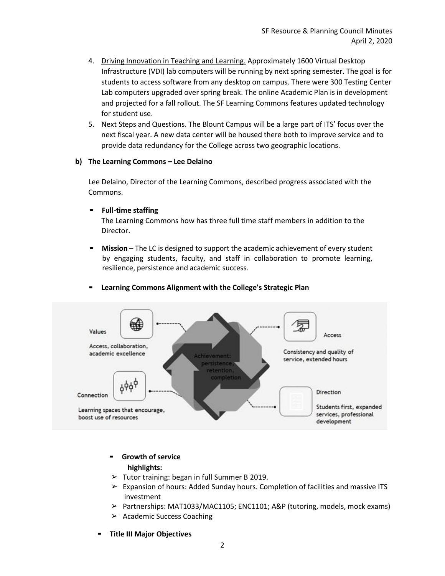- 4. Driving Innovation in Teaching and Learning. Approximately 1600 Virtual Desktop Infrastructure (VDI) lab computers will be running by next spring semester. The goal is for students to access software from any desktop on campus. There were 300 Testing Center Lab computers upgraded over spring break. The online Academic Plan is in development and projected for a fall rollout. The SF Learning Commons features updated technology for student use.
- 5. Next Steps and Questions. The Blount Campus will be a large part of ITS' focus over the next fiscal year. A new data center will be housed there both to improve service and to provide data redundancy for the College across two geographic locations.

# **b) The Learning Commons – Lee Delaino**

Lee Delaino, Director of the Learning Commons, described progress associated with the Commons.

#### ▪ **Full-time staffing**

The Learning Commons how has three full time staff members in addition to the Director.

**EXECT** Mission – The LC is designed to support the academic achievement of every student by engaging students, faculty, and staff in collaboration to promote learning, resilience, persistence and academic success.



#### ▪ **Learning Commons Alignment with the College's Strategic Plan**

- **Growth of service highlights:**
- $\triangleright$  Tutor training: began in full Summer B 2019.
- $\triangleright$  Expansion of hours: Added Sunday hours. Completion of facilities and massive ITS investment
- ➢ Partnerships: MAT1033/MAC1105; ENC1101; A&P (tutoring, models, mock exams)
- ➢ Academic Success Coaching
- **Title III Major Objectives**